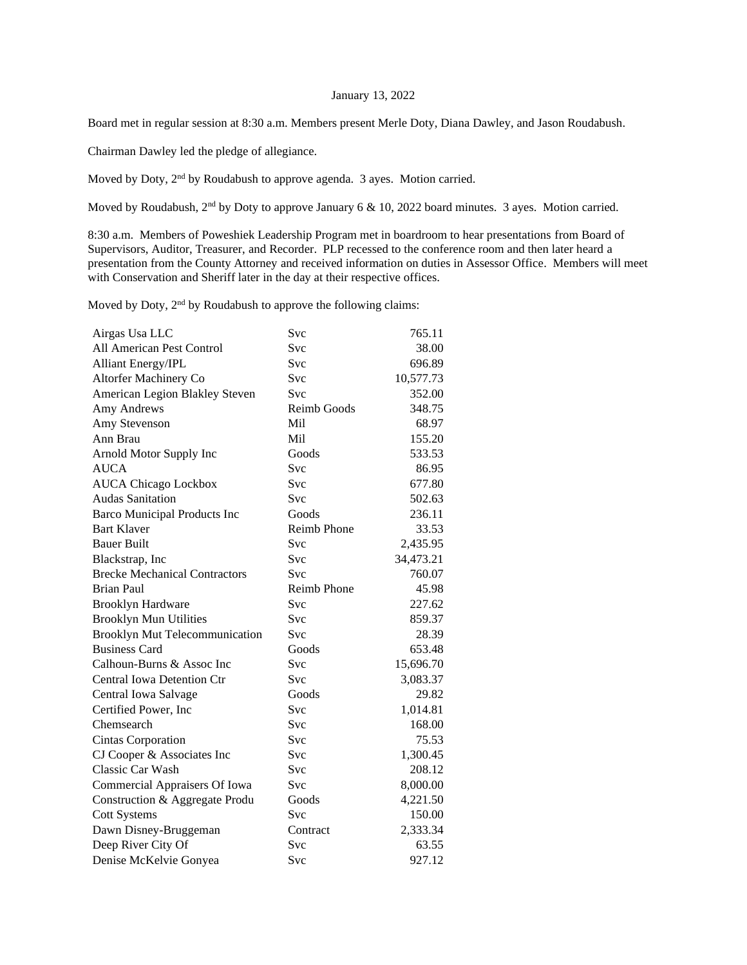## January 13, 2022

Board met in regular session at 8:30 a.m. Members present Merle Doty, Diana Dawley, and Jason Roudabush.

Chairman Dawley led the pledge of allegiance.

Moved by Doty, 2nd by Roudabush to approve agenda. 3 ayes. Motion carried.

Moved by Roudabush, 2<sup>nd</sup> by Doty to approve January 6 & 10, 2022 board minutes. 3 ayes. Motion carried.

8:30 a.m. Members of Poweshiek Leadership Program met in boardroom to hear presentations from Board of Supervisors, Auditor, Treasurer, and Recorder. PLP recessed to the conference room and then later heard a presentation from the County Attorney and received information on duties in Assessor Office. Members will meet with Conservation and Sheriff later in the day at their respective offices.

Moved by Doty, 2<sup>nd</sup> by Roudabush to approve the following claims:

| Airgas Usa LLC                       | Svc                | 765.11    |
|--------------------------------------|--------------------|-----------|
| All American Pest Control            | Svc                | 38.00     |
| <b>Alliant Energy/IPL</b>            | Svc                | 696.89    |
| Altorfer Machinery Co                | Svc                | 10,577.73 |
| American Legion Blakley Steven       | Svc                | 352.00    |
| Amy Andrews                          | Reimb Goods        | 348.75    |
| Amy Stevenson                        | Mil                | 68.97     |
| Ann Brau                             | Mil                | 155.20    |
| Arnold Motor Supply Inc              | Goods              | 533.53    |
| <b>AUCA</b>                          | Svc                | 86.95     |
| <b>AUCA Chicago Lockbox</b>          | Svc                | 677.80    |
| <b>Audas Sanitation</b>              | <b>Svc</b>         | 502.63    |
| <b>Barco Municipal Products Inc</b>  | Goods              | 236.11    |
| <b>Bart Klaver</b>                   | <b>Reimb Phone</b> | 33.53     |
| <b>Bauer Built</b>                   | Svc                | 2,435.95  |
| Blackstrap, Inc                      | Svc                | 34,473.21 |
| <b>Brecke Mechanical Contractors</b> | Svc                | 760.07    |
| <b>Brian Paul</b>                    | <b>Reimb Phone</b> | 45.98     |
| <b>Brooklyn Hardware</b>             | Svc                | 227.62    |
| <b>Brooklyn Mun Utilities</b>        | <b>Svc</b>         | 859.37    |
| Brooklyn Mut Telecommunication       | <b>Svc</b>         | 28.39     |
| <b>Business Card</b>                 | Goods              | 653.48    |
| Calhoun-Burns & Assoc Inc            | Svc                | 15,696.70 |
| <b>Central Iowa Detention Ctr</b>    | Svc                | 3,083.37  |
| Central Iowa Salvage                 | Goods              | 29.82     |
| Certified Power, Inc.                | Svc                | 1,014.81  |
| Chemsearch                           | Svc                | 168.00    |
| <b>Cintas Corporation</b>            | Svc                | 75.53     |
| CJ Cooper & Associates Inc           | Svc                | 1,300.45  |
| Classic Car Wash                     | Svc                | 208.12    |
| Commercial Appraisers Of Iowa        | Svc                | 8,000.00  |
| Construction & Aggregate Produ       | Goods              | 4,221.50  |
| <b>Cott Systems</b>                  | Svc                | 150.00    |
| Dawn Disney-Bruggeman                | Contract           | 2,333.34  |
| Deep River City Of                   | Svc                | 63.55     |
| Denise McKelvie Gonyea               | Svc                | 927.12    |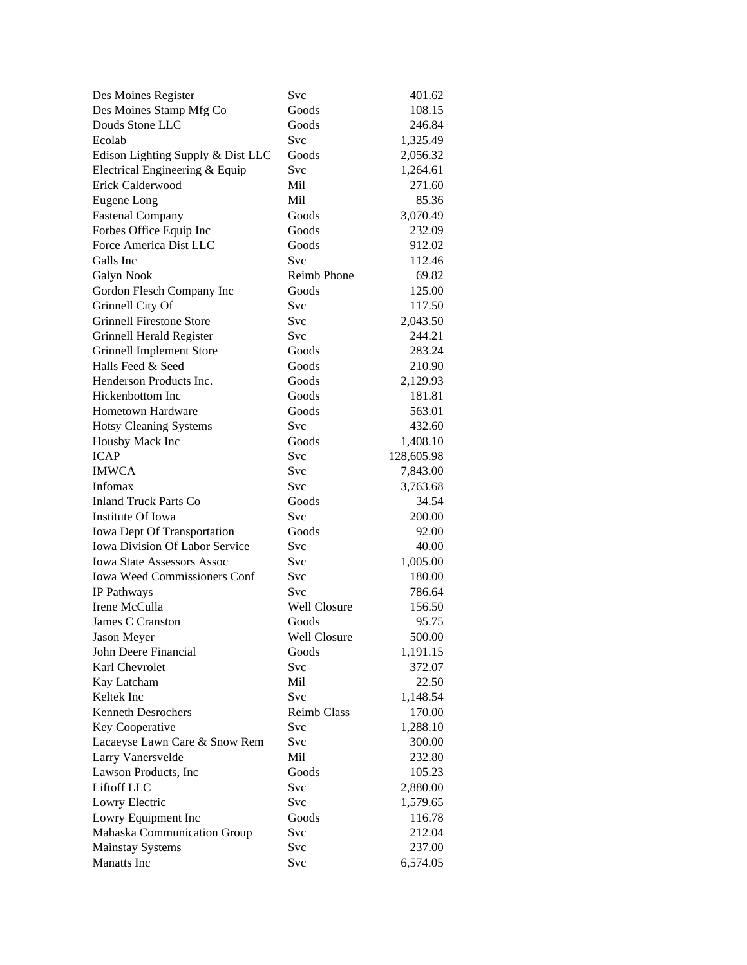| Des Moines Register                 | Svc                 | 401.62     |
|-------------------------------------|---------------------|------------|
| Des Moines Stamp Mfg Co             | Goods               | 108.15     |
| Douds Stone LLC                     | Goods               | 246.84     |
| Ecolab                              | Svc                 | 1,325.49   |
| Edison Lighting Supply & Dist LLC   | Goods               | 2,056.32   |
| Electrical Engineering & Equip      | Svc                 | 1,264.61   |
| Erick Calderwood                    | Mil                 | 271.60     |
| Eugene Long                         | Mil                 | 85.36      |
| <b>Fastenal Company</b>             | Goods               | 3,070.49   |
| Forbes Office Equip Inc             | Goods               | 232.09     |
| Force America Dist LLC              | Goods               | 912.02     |
| Galls Inc                           | Svc                 | 112.46     |
| Galyn Nook                          | Reimb Phone         | 69.82      |
| Gordon Flesch Company Inc           | Goods               | 125.00     |
| Grinnell City Of                    | Svc                 | 117.50     |
| <b>Grinnell Firestone Store</b>     | Svc                 | 2,043.50   |
| Grinnell Herald Register            | <b>Svc</b>          | 244.21     |
| <b>Grinnell Implement Store</b>     | Goods               | 283.24     |
| Halls Feed & Seed                   | Goods               | 210.90     |
| Henderson Products Inc.             | Goods               | 2,129.93   |
| Hickenbottom Inc                    | Goods               | 181.81     |
| <b>Hometown Hardware</b>            | Goods               | 563.01     |
| <b>Hotsy Cleaning Systems</b>       | Svc                 | 432.60     |
| Housby Mack Inc                     | Goods               | 1,408.10   |
| <b>ICAP</b>                         | Svc                 | 128,605.98 |
| <b>IMWCA</b>                        | Svc                 | 7,843.00   |
| Infomax                             | Svc                 | 3,763.68   |
| <b>Inland Truck Parts Co</b>        | Goods               | 34.54      |
| Institute Of Iowa                   | Svc                 | 200.00     |
| Iowa Dept Of Transportation         | Goods               | 92.00      |
| Iowa Division Of Labor Service      | Svc                 | 40.00      |
| <b>Iowa State Assessors Assoc</b>   | <b>Svc</b>          | 1,005.00   |
| <b>Iowa Weed Commissioners Conf</b> | <b>Svc</b>          | 180.00     |
| IP Pathways                         | Svc                 | 786.64     |
| Irene McCulla                       | <b>Well Closure</b> | 156.50     |
| James C Cranston                    | Goods               | 95.75      |
| Jason Meyer                         | Well Closure        | 500.00     |
| John Deere Financial                | Goods               | 1,191.15   |
| Karl Chevrolet                      | Svc                 | 372.07     |
| Kay Latcham                         | Mil                 | 22.50      |
| Keltek Inc                          | Svc                 | 1,148.54   |
| <b>Kenneth Desrochers</b>           | <b>Reimb Class</b>  | 170.00     |
| Key Cooperative                     | Svc                 | 1,288.10   |
| Lacaeyse Lawn Care & Snow Rem       | Svc                 | 300.00     |
| Larry Vanersvelde                   | Mil                 | 232.80     |
| Lawson Products, Inc                | Goods               | 105.23     |
| Liftoff LLC                         | Svc                 | 2,880.00   |
| Lowry Electric                      | Svc                 | 1,579.65   |
| Lowry Equipment Inc                 | Goods               | 116.78     |
| Mahaska Communication Group         | Svc                 | 212.04     |
| <b>Mainstay Systems</b>             | Svc                 | 237.00     |
| Manatts Inc                         | Svc                 | 6,574.05   |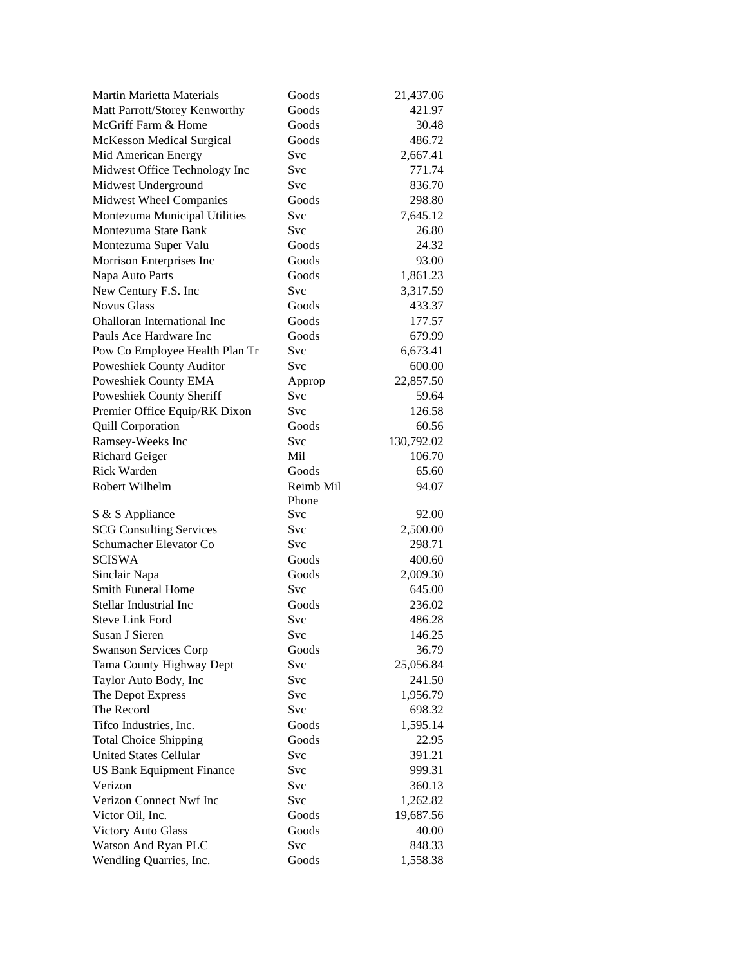| <b>Martin Marietta Materials</b>               | Goods        | 21,437.06          |
|------------------------------------------------|--------------|--------------------|
| Matt Parrott/Storey Kenworthy                  | Goods        | 421.97             |
| McGriff Farm & Home                            | Goods        | 30.48              |
| <b>McKesson Medical Surgical</b>               | Goods        | 486.72             |
| Mid American Energy                            | Svc          | 2,667.41           |
| Midwest Office Technology Inc                  | Svc          | 771.74             |
| Midwest Underground                            | Svc          | 836.70             |
| Midwest Wheel Companies                        | Goods        | 298.80             |
| Montezuma Municipal Utilities                  | Svc          | 7,645.12           |
| Montezuma State Bank                           | Svc          | 26.80              |
| Montezuma Super Valu                           | Goods        | 24.32              |
| Morrison Enterprises Inc                       | Goods        | 93.00              |
| Napa Auto Parts                                | Goods        | 1,861.23           |
| New Century F.S. Inc                           | Svc          | 3,317.59           |
| <b>Novus Glass</b>                             | Goods        | 433.37             |
| <b>Ohalloran International Inc</b>             | Goods        | 177.57             |
| Pauls Ace Hardware Inc                         | Goods        | 679.99             |
| Pow Co Employee Health Plan Tr                 | Svc          | 6,673.41           |
| Poweshiek County Auditor                       | Svc          | 600.00             |
| Poweshiek County EMA                           | Approp       | 22,857.50          |
| Poweshiek County Sheriff                       | Svc          | 59.64              |
| Premier Office Equip/RK Dixon                  | Svc          | 126.58             |
| <b>Quill Corporation</b>                       | Goods        | 60.56              |
| Ramsey-Weeks Inc                               | Svc          | 130,792.02         |
| <b>Richard Geiger</b>                          | Mil          | 106.70             |
| <b>Rick Warden</b>                             | Goods        | 65.60              |
|                                                | Reimb Mil    |                    |
|                                                |              |                    |
| Robert Wilhelm                                 |              | 94.07              |
|                                                | Phone<br>Svc |                    |
| S & S Appliance                                |              | 92.00              |
| <b>SCG Consulting Services</b>                 | Svc          | 2,500.00           |
| Schumacher Elevator Co                         | Svc          | 298.71             |
| <b>SCISWA</b>                                  | Goods        | 400.60             |
| Sinclair Napa                                  | Goods        | 2,009.30           |
| Smith Funeral Home                             | Svc          | 645.00             |
| Stellar Industrial Inc                         | Goods        | 236.02             |
| <b>Steve Link Ford</b>                         | Svc          | 486.28             |
| Susan J Sieren                                 | Svc          | 146.25             |
| <b>Swanson Services Corp</b>                   | Goods        | 36.79              |
| Tama County Highway Dept                       | Svc          | 25,056.84          |
| Taylor Auto Body, Inc                          | Svc          | 241.50             |
| The Depot Express                              | Svc          | 1,956.79           |
| The Record                                     | Svc          | 698.32             |
| Tifco Industries, Inc.                         | Goods        | 1,595.14           |
| <b>Total Choice Shipping</b>                   | Goods        | 22.95              |
| <b>United States Cellular</b>                  | Svc          | 391.21             |
| <b>US Bank Equipment Finance</b>               | Svc          | 999.31             |
| Verizon                                        | Svc          | 360.13             |
| Verizon Connect Nwf Inc                        | Svc          | 1,262.82           |
| Victor Oil, Inc.                               | Goods        | 19,687.56          |
| <b>Victory Auto Glass</b>                      | Goods        | 40.00              |
| Watson And Ryan PLC<br>Wendling Quarries, Inc. | Svc<br>Goods | 848.33<br>1,558.38 |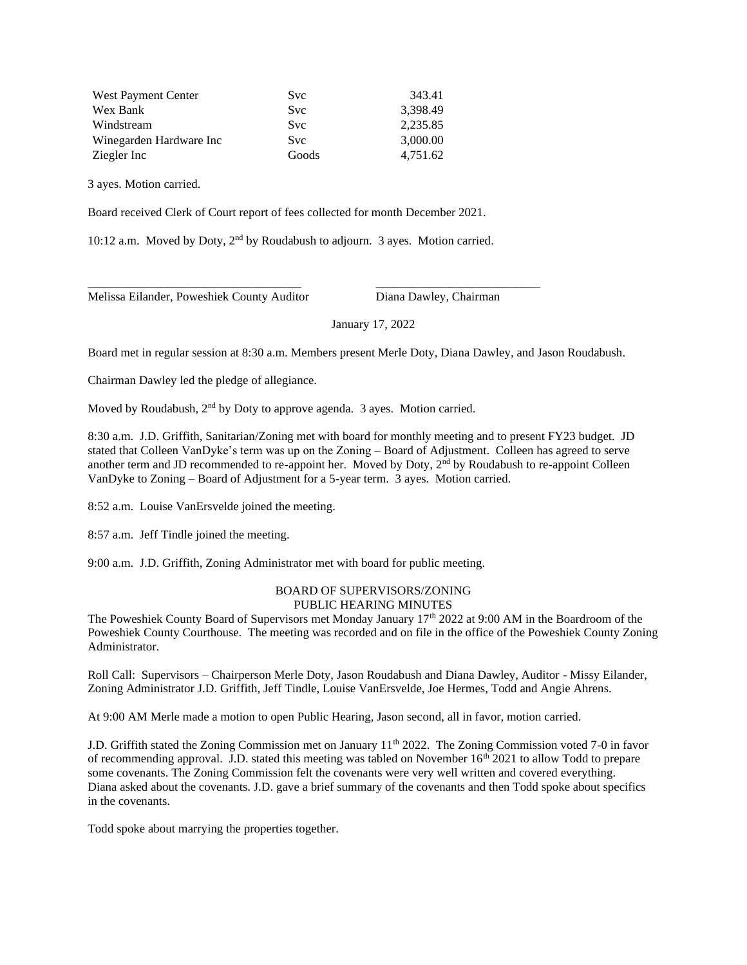| West Payment Center     | <b>Svc</b> | 343.41   |
|-------------------------|------------|----------|
| Wex Bank                | Svc        | 3.398.49 |
| Windstream              | Svc        | 2,235.85 |
| Winegarden Hardware Inc | <b>Svc</b> | 3,000.00 |
| Ziegler Inc             | Goods      | 4.751.62 |

3 ayes. Motion carried.

Board received Clerk of Court report of fees collected for month December 2021.

10:12 a.m. Moved by Doty, 2nd by Roudabush to adjourn. 3 ayes. Motion carried.

\_\_\_\_\_\_\_\_\_\_\_\_\_\_\_\_\_\_\_\_\_\_\_\_\_\_\_\_\_\_\_\_\_\_\_ \_\_\_\_\_\_\_\_\_\_\_\_\_\_\_\_\_\_\_\_\_\_\_\_\_\_\_

Melissa Eilander, Poweshiek County Auditor Diana Dawley, Chairman

January 17, 2022

Board met in regular session at 8:30 a.m. Members present Merle Doty, Diana Dawley, and Jason Roudabush.

Chairman Dawley led the pledge of allegiance.

Moved by Roudabush, 2<sup>nd</sup> by Doty to approve agenda. 3 ayes. Motion carried.

8:30 a.m. J.D. Griffith, Sanitarian/Zoning met with board for monthly meeting and to present FY23 budget. JD stated that Colleen VanDyke's term was up on the Zoning – Board of Adjustment. Colleen has agreed to serve another term and JD recommended to re-appoint her. Moved by Doty, 2nd by Roudabush to re-appoint Colleen VanDyke to Zoning – Board of Adjustment for a 5-year term. 3 ayes. Motion carried.

8:52 a.m. Louise VanErsvelde joined the meeting.

8:57 a.m. Jeff Tindle joined the meeting.

9:00 a.m. J.D. Griffith, Zoning Administrator met with board for public meeting.

## BOARD OF SUPERVISORS/ZONING PUBLIC HEARING MINUTES

The Poweshiek County Board of Supervisors met Monday January 17<sup>th</sup> 2022 at 9:00 AM in the Boardroom of the Poweshiek County Courthouse. The meeting was recorded and on file in the office of the Poweshiek County Zoning Administrator.

Roll Call: Supervisors – Chairperson Merle Doty, Jason Roudabush and Diana Dawley, Auditor - Missy Eilander, Zoning Administrator J.D. Griffith, Jeff Tindle, Louise VanErsvelde, Joe Hermes, Todd and Angie Ahrens.

At 9:00 AM Merle made a motion to open Public Hearing, Jason second, all in favor, motion carried.

J.D. Griffith stated the Zoning Commission met on January 11th 2022. The Zoning Commission voted 7-0 in favor of recommending approval. J.D. stated this meeting was tabled on November  $16<sup>th</sup> 2021$  to allow Todd to prepare some covenants. The Zoning Commission felt the covenants were very well written and covered everything. Diana asked about the covenants. J.D. gave a brief summary of the covenants and then Todd spoke about specifics in the covenants.

Todd spoke about marrying the properties together.